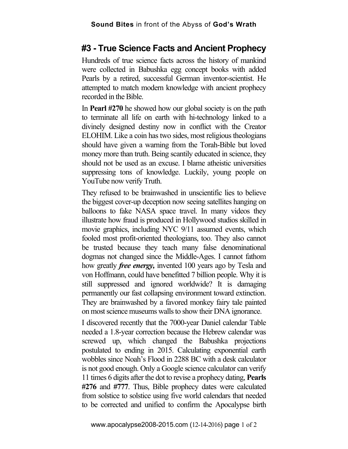## **#3 - True Science Facts and Ancient Prophecy**

Hundreds of true science facts across the history of mankind were collected in Babushka egg concept books with added Pearls by a retired, successful German inventor-scientist. He attempted to match modern knowledge with ancient prophecy recorded in the Bible.

In **Pearl #270** he showed how our global society is on the path to terminate all life on earth with hi-technology linked to a divinely designed destiny now in conflict with the Creator ELOHIM. Like a coin has two sides, most religious theologians should have given a warning from the Torah-Bible but loved money more than truth. Being scantily educated in science, they should not be used as an excuse. I blame atheistic universities suppressing tons of knowledge. Luckily, young people on YouTube now verify Truth.

They refused to be brainwashed in unscientific lies to believe the biggest cover-up deception now seeing satellites hanging on balloons to fake NASA space travel. In many videos they illustrate how fraud is produced in Hollywood studios skilled in movie graphics, including NYC 9/11 assumed events, which fooled most profit-oriented theologians, too. They also cannot be trusted because they teach many false denominational dogmas not changed since the Middle-Ages. I cannot fathom how greatly *free energy,* invented 100 years ago by Tesla and von Hoffmann, could have benefitted 7 billion people. Why it is still suppressed and ignored worldwide? It is damaging permanently our fast collapsing environment toward extinction. They are brainwashed by a favored monkey fairy tale painted on most science museums walls to show their DNA ignorance.

I discovered recently that the 7000-year Daniel calendar Table needed a 1.8-year correction because the Hebrew calendar was screwed up, which changed the Babushka projections postulated to ending in 2015. Calculating exponential earth wobbles since Noah's Flood in 2288 BC with a desk calculator is not good enough. Only a Google science calculator can verify 11 times 6 digits after the dot to revise a prophecy dating, **Pearls #276** and **#777**. Thus, Bible prophecy dates were calculated from solstice to solstice using five world calendars that needed to be corrected and unified to confirm the Apocalypse birth